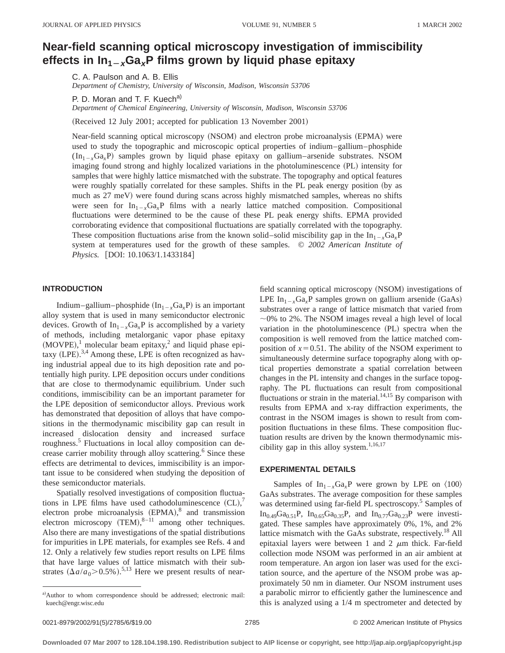# **Near-field scanning optical microscopy investigation of immiscibility** effects in  $\ln_{1-x}Ga_xP$  films grown by liquid phase epitaxy

C. A. Paulson and A. B. Ellis *Department of Chemistry, University of Wisconsin, Madison, Wisconsin 53706*

P. D. Moran and T. F. Kuech<sup>a)</sup>

*Department of Chemical Engineering, University of Wisconsin, Madison, Wisconsin 53706*

(Received 12 July 2001; accepted for publication 13 November 2001)

Near-field scanning optical microscopy (NSOM) and electron probe microanalysis (EPMA) were used to study the topographic and microscopic optical properties of indium–gallium–phosphide  $(In_{1-x}Ga_xP)$  samples grown by liquid phase epitaxy on gallium–arsenide substrates. NSOM imaging found strong and highly localized variations in the photoluminescence (PL) intensity for samples that were highly lattice mismatched with the substrate. The topography and optical features were roughly spatially correlated for these samples. Shifts in the PL peak energy position (by as much as  $27 \text{ meV}$ ) were found during scans across highly mismatched samples, whereas no shifts were seen for  $In_{1-x}Ga_xP$  films with a nearly lattice matched composition. Compositional fluctuations were determined to be the cause of these PL peak energy shifts. EPMA provided corroborating evidence that compositional fluctuations are spatially correlated with the topography. These composition fluctuations arise from the known solid–solid miscibility gap in the  $In_{1-x}Ga_xP$ system at temperatures used for the growth of these samples. © *2002 American Institute of Physics.* [DOI: 10.1063/1.1433184]

## **INTRODUCTION**

Indium–gallium–phosphide  $(In_{1-x}Ga_xP)$  is an important alloy system that is used in many semiconductor electronic devices. Growth of  $In_{1-x}Ga_xP$  is accomplished by a variety of methods, including metalorganic vapor phase epitaxy  $(MOVPE)$ ,<sup>1</sup> molecular beam epitaxy,<sup>2</sup> and liquid phase epitaxy (LPE).<sup>3,4</sup> Among these, LPE is often recognized as having industrial appeal due to its high deposition rate and potentially high purity. LPE deposition occurs under conditions that are close to thermodynamic equilibrium. Under such conditions, immiscibility can be an important parameter for the LPE deposition of semiconductor alloys. Previous work has demonstrated that deposition of alloys that have compositions in the thermodynamic miscibility gap can result in increased dislocation density and increased surface roughness.5 Fluctuations in local alloy composition can decrease carrier mobility through alloy scattering.<sup>6</sup> Since these effects are detrimental to devices, immiscibility is an important issue to be considered when studying the deposition of these semiconductor materials.

Spatially resolved investigations of composition fluctuations in LPE films have used cathodoluminescence  $(CL)$ ,<sup>7</sup> electron probe microanalysis  $(EPMA)<sup>8</sup>$  and transmission electron microscopy  $(TEM)^{8-11}$  among other techniques. Also there are many investigations of the spatial distributions for impurities in LPE materials, for examples see Refs. 4 and 12. Only a relatively few studies report results on LPE films that have large values of lattice mismatch with their substrates  $(\Delta a/a_0 > 0.5\%)$ .<sup>5,13</sup> Here we present results of nearfield scanning optical microscopy (NSOM) investigations of LPE  $In_{1-x}Ga_xP$  samples grown on gallium arsenide (GaAs) substrates over a range of lattice mismatch that varied from  $\sim$ 0% to 2%. The NSOM images reveal a high level of local variation in the photoluminescence  $(PL)$  spectra when the composition is well removed from the lattice matched composition of  $x=0.51$ . The ability of the NSOM experiment to simultaneously determine surface topography along with optical properties demonstrate a spatial correlation between changes in the PL intensity and changes in the surface topography. The PL fluctuations can result from compositional fluctuations or strain in the material.<sup>14,15</sup> By comparison with results from EPMA and x-ray diffraction experiments, the contrast in the NSOM images is shown to result from composition fluctuations in these films. These composition fluctuation results are driven by the known thermodynamic miscibility gap in this alloy system.<sup>1,16,17</sup>

# **EXPERIMENTAL DETAILS**

Samples of  $In_{1-x}Ga_xP$  were grown by LPE on  $\langle 100 \rangle$ GaAs substrates. The average composition for these samples was determined using far-field PL spectroscopy.<sup>5</sup> Samples of  $In<sub>0.49</sub>Ga<sub>0.51</sub>P$ ,  $In<sub>0.65</sub>Ga<sub>0.35</sub>P$ , and  $In<sub>0.77</sub>Ga<sub>0.23</sub>P$  were investigated. These samples have approximately 0%, 1%, and 2% lattice mismatch with the GaAs substrate, respectively.<sup>18</sup> All epitaxial layers were between 1 and 2  $\mu$ m thick. Far-field collection mode NSOM was performed in an air ambient at room temperature. An argon ion laser was used for the excitation source, and the aperture of the NSOM probe was approximately 50 nm in diameter. Our NSOM instrument uses a parabolic mirror to efficiently gather the luminescence and this is analyzed using a 1/4 m spectrometer and detected by

a)Author to whom correspondence should be addressed; electronic mail: kuech@engr.wisc.edu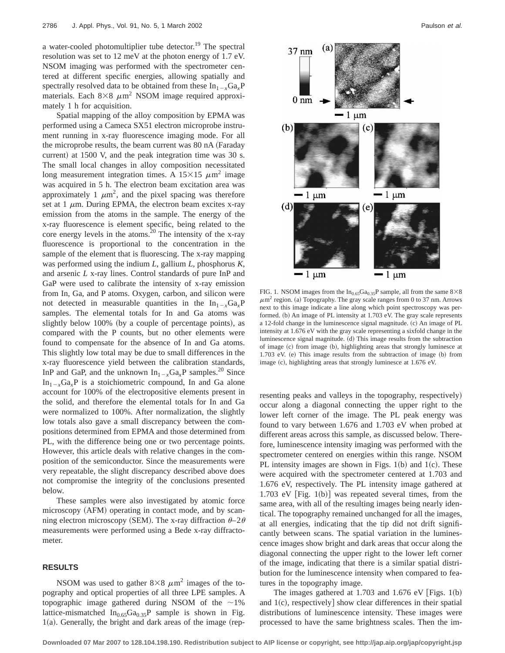a water-cooled photomultiplier tube detector.<sup>19</sup> The spectral resolution was set to 12 meV at the photon energy of 1.7 eV. NSOM imaging was performed with the spectrometer centered at different specific energies, allowing spatially and spectrally resolved data to be obtained from these  $In_{1-x}Ga_xP$ materials. Each  $8\times8 \mu m^2$  NSOM image required approximately 1 h for acquisition.

Spatial mapping of the alloy composition by EPMA was performed using a Cameca SX51 electron microprobe instrument running in x-ray fluorescence imaging mode. For all the microprobe results, the beam current was 80 nA (Faraday current) at  $1500$  V, and the peak integration time was  $30$  s. The small local changes in alloy composition necessitated long measurement integration times. A  $15\times15 \ \mu \text{m}^2$  image was acquired in 5 h. The electron beam excitation area was approximately 1  $\mu$ m<sup>2</sup>, and the pixel spacing was therefore set at  $1 \mu$ m. During EPMA, the electron beam excites x-ray emission from the atoms in the sample. The energy of the x-ray fluorescence is element specific, being related to the core energy levels in the atoms.<sup>20</sup> The intensity of the x-ray fluorescence is proportional to the concentration in the sample of the element that is fluorescing. The x-ray mapping was performed using the indium *L*, gallium *L*, phosphorus *K*, and arsenic *L* x-ray lines. Control standards of pure InP and GaP were used to calibrate the intensity of x-ray emission from In, Ga, and P atoms. Oxygen, carbon, and silicon were not detected in measurable quantities in the  $In_{1-x}Ga_xP$ samples. The elemental totals for In and Ga atoms was slightly below 100% (by a couple of percentage points), as compared with the P counts, but no other elements were found to compensate for the absence of In and Ga atoms. This slightly low total may be due to small differences in the x-ray fluorescence yield between the calibration standards, InP and GaP, and the unknown  $In_{1-x}Ga_xP$  samples.<sup>20</sup> Since  $In_{1-x}Ga_xP$  is a stoichiometric compound, In and Ga alone account for 100% of the electropositive elements present in the solid, and therefore the elemental totals for In and Ga were normalized to 100%. After normalization, the slightly low totals also gave a small discrepancy between the compositions determined from EPMA and those determined from PL, with the difference being one or two percentage points. However, this article deals with relative changes in the composition of the semiconductor. Since the measurements were very repeatable, the slight discrepancy described above does not compromise the integrity of the conclusions presented below.

These samples were also investigated by atomic force microscopy (AFM) operating in contact mode, and by scanning electron microscopy (SEM). The x-ray diffraction  $\theta$ –2 $\theta$ measurements were performed using a Bede x-ray diffractometer.

# **RESULTS**

NSOM was used to gather  $8\times8 \mu m^2$  images of the topography and optical properties of all three LPE samples. A topographic image gathered during NSOM of the  $\sim$ 1% lattice-mismatched  $In<sub>0.65</sub>Ga<sub>0.35</sub>P$  sample is shown in Fig.  $1(a)$ . Generally, the bright and dark areas of the image (rep-



FIG. 1. NSOM images from the  $In<sub>0.65</sub>Ga<sub>0.35</sub>P$  sample, all from the same  $8\times8$  $\mu$ m<sup>2</sup> region. (a) Topography. The gray scale ranges from 0 to 37 nm. Arrows next to this image indicate a line along which point spectroscopy was performed. (b) An image of PL intensity at 1.703 eV. The gray scale represents a 12-fold change in the luminescence signal magnitude. (c) An image of PL intensity at 1.676 eV with the gray scale representing a sixfold change in the luminescence signal magnitude. (d) This image results from the subtraction of image (c) from image (b), highlighting areas that strongly luminesce at  $1.703$  eV. (e) This image results from the subtraction of image (b) from image  $(c)$ , highlighting areas that strongly luminesce at 1.676 eV.

resenting peaks and valleys in the topography, respectively) occur along a diagonal connecting the upper right to the lower left corner of the image. The PL peak energy was found to vary between 1.676 and 1.703 eV when probed at different areas across this sample, as discussed below. Therefore, luminescence intensity imaging was performed with the spectrometer centered on energies within this range. NSOM PL intensity images are shown in Figs.  $1(b)$  and  $1(c)$ . These were acquired with the spectrometer centered at 1.703 and 1.676 eV, respectively. The PL intensity image gathered at 1.703 eV  $[Fig. 1(b)]$  was repeated several times, from the same area, with all of the resulting images being nearly identical. The topography remained unchanged for all the images, at all energies, indicating that the tip did not drift significantly between scans. The spatial variation in the luminescence images show bright and dark areas that occur along the diagonal connecting the upper right to the lower left corner of the image, indicating that there is a similar spatial distribution for the luminescence intensity when compared to features in the topography image.

The images gathered at  $1.703$  and  $1.676$  eV [Figs. 1(b) and  $1(c)$ , respectively] show clear differences in their spatial distributions of luminescence intensity. These images were processed to have the same brightness scales. Then the im-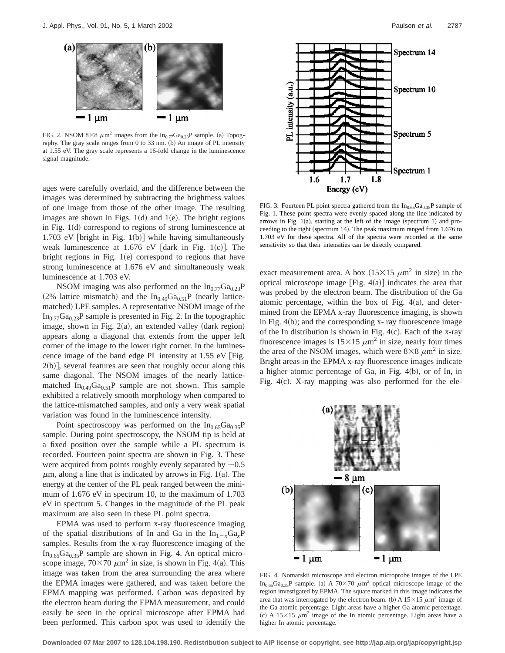

FIG. 2. NSOM 8×8  $\mu$ m<sup>2</sup> images from the In<sub>0.77</sub>Ga<sub>0.23</sub>P sample. (a) Topography. The gray scale ranges from  $0$  to  $33$  nm. (b) An image of PL intensity at 1.55 eV. The gray scale represents a 16-fold change in the luminescence signal magnitude.

ages were carefully overlaid, and the difference between the images was determined by subtracting the brightness values of one image from those of the other image. The resulting images are shown in Figs.  $1(d)$  and  $1(e)$ . The bright regions in Fig.  $1(d)$  correspond to regions of strong luminescence at 1.703 eV [bright in Fig.  $1(b)$ ] while having simultaneously weak luminescence at  $1.676$  eV [dark in Fig. 1(c)]. The bright regions in Fig.  $1(e)$  correspond to regions that have strong luminescence at 1.676 eV and simultaneously weak luminescence at 1.703 eV.

NSOM imaging was also performed on the  $In_{0.77}Ga_{0.23}P$ (2% lattice mismatch) and the  $In<sub>0.49</sub>Ga<sub>0.51</sub>P$  (nearly latticematched) LPE samples. A representative NSOM image of the  $In_{0.77}Ga_{0.23}P$  sample is presented in Fig. 2. In the topographic image, shown in Fig.  $2(a)$ , an extended valley (dark region) appears along a diagonal that extends from the upper left corner of the image to the lower right corner. In the luminescence image of the band edge PL intensity at  $1.55$  eV [Fig.  $2(b)$ , several features are seen that roughly occur along this same diagonal. The NSOM images of the nearly latticematched  $In_{0.49}Ga_{0.51}P$  sample are not shown. This sample exhibited a relatively smooth morphology when compared to the lattice-mismatched samples, and only a very weak spatial variation was found in the luminescence intensity.

Point spectroscopy was performed on the  $In<sub>0.65</sub>Ga<sub>0.35</sub>P$ sample. During point spectroscopy, the NSOM tip is held at a fixed position over the sample while a PL spectrum is recorded. Fourteen point spectra are shown in Fig. 3. These were acquired from points roughly evenly separated by  $\sim 0.5$  $\mu$ m, along a line that is indicated by arrows in Fig. 1(a). The energy at the center of the PL peak ranged between the minimum of 1.676 eV in spectrum 10, to the maximum of 1.703 eV in spectrum 5. Changes in the magnitude of the PL peak maximum are also seen in these PL point spectra.

EPMA was used to perform x-ray fluorescence imaging of the spatial distributions of In and Ga in the  $In_{1-x}Ga<sub>x</sub>P$ samples. Results from the x-ray fluorescence imaging of the  $In<sub>0.65</sub>Ga<sub>0.35</sub>P$  sample are shown in Fig. 4. An optical microscope image,  $70\times70 \ \mu m^2$  in size, is shown in Fig. 4(a). This image was taken from the area surrounding the area where the EPMA images were gathered, and was taken before the EPMA mapping was performed. Carbon was deposited by the electron beam during the EPMA measurement, and could easily be seen in the optical microscope after EPMA had been performed. This carbon spot was used to identify the



FIG. 3. Fourteen PL point spectra gathered from the  $In<sub>0.65</sub>Ga<sub>0.35</sub>P$  sample of Fig. 1. These point spectra were evenly spaced along the line indicated by arrows in Fig.  $1(a)$ , starting at the left of the image (spectrum 1) and proceeding to the right (spectrum 14). The peak maximum ranged from  $1.676$  to 1.703 eV for these spectra. All of the spectra were recorded at the same sensitivity so that their intensities can be directly compared.

exact measurement area. A box  $(15\times15 \mu m^2)$  in size) in the optical microscope image  $[Fig. 4(a)]$  indicates the area that was probed by the electron beam. The distribution of the Ga atomic percentage, within the box of Fig.  $4(a)$ , and determined from the EPMA x-ray fluorescence imaging, is shown in Fig.  $4(b)$ ; and the corresponding x- ray fluorescence image of the In distribution is shown in Fig.  $4(c)$ . Each of the x-ray fluorescence images is  $15\times15 \ \mu m^2$  in size, nearly four times the area of the NSOM images, which were  $8\times8 \ \mu m^2$  in size. Bright areas in the EPMA x-ray fluorescence images indicate a higher atomic percentage of Ga, in Fig.  $4(b)$ , or of In, in Fig.  $4(c)$ . X-ray mapping was also performed for the ele-



FIG. 4. Nomarskii microscope and electron microprobe images of the LPE In<sub>0.65</sub>Ga<sub>0.35</sub>P sample. (a) A 70 $\times$ 70  $\mu$ m<sup>2</sup> optical microscope image of the region investigated by EPMA. The square marked in this image indicates the area that was interrogated by the electron beam. (b) A  $15\times15 \ \mu \text{m}^2$  image of the Ga atomic percentage. Light areas have a higher Ga atomic percentage. (c) A 15 $\times$ 15  $\mu$ m<sup>2</sup> image of the In atomic percentage. Light areas have a higher In atomic percentage.

**Downloaded 07 Mar 2007 to 128.104.198.190. Redistribution subject to AIP license or copyright, see http://jap.aip.org/jap/copyright.jsp**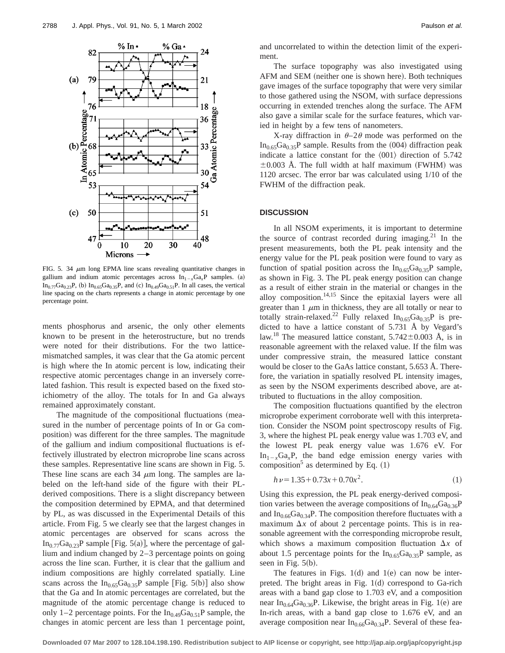

FIG. 5. 34  $\mu$ m long EPMA line scans revealing quantitative changes in gallium and indium atomic percentages across  $In_{1-x}Ga_xP$  samples. (a)  $In_{0.77}Ga_{0.23}P$ , (b)  $In_{0.65}Ga_{0.35}P$ , and (c)  $In_{0.49}Ga_{0.51}P$ . In all cases, the vertical line spacing on the charts represents a change in atomic percentage by one percentage point.

ments phosphorus and arsenic, the only other elements known to be present in the heterostructure, but no trends were noted for their distributions. For the two latticemismatched samples, it was clear that the Ga atomic percent is high where the In atomic percent is low, indicating their respective atomic percentages change in an inversely correlated fashion. This result is expected based on the fixed stoichiometry of the alloy. The totals for In and Ga always remained approximately constant.

The magnitude of the compositional fluctuations (measured in the number of percentage points of In or Ga composition) was different for the three samples. The magnitude of the gallium and indium compositional fluctuations is effectively illustrated by electron microprobe line scans across these samples. Representative line scans are shown in Fig. 5. These line scans are each 34  $\mu$ m long. The samples are labeled on the left-hand side of the figure with their PLderived compositions. There is a slight discrepancy between the composition determined by EPMA, and that determined by PL, as was discussed in the Experimental Details of this article. From Fig. 5 we clearly see that the largest changes in atomic percentages are observed for scans across the In<sub>0.77</sub>Ga<sub>0.23</sub>P sample [Fig. 5(a)], where the percentage of gallium and indium changed by 2–3 percentage points on going across the line scan. Further, it is clear that the gallium and indium compositions are highly correlated spatially. Line scans across the  $In<sub>0.65</sub>Ga<sub>0.35</sub>P$  sample [Fig. 5(b)] also show that the Ga and In atomic percentages are correlated, but the magnitude of the atomic percentage change is reduced to only 1–2 percentage points. For the  $In_{0.49}Ga_{0.51}P$  sample, the changes in atomic percent are less than 1 percentage point, and uncorrelated to within the detection limit of the experiment.

The surface topography was also investigated using AFM and SEM (neither one is shown here). Both techniques gave images of the surface topography that were very similar to those gathered using the NSOM, with surface depressions occurring in extended trenches along the surface. The AFM also gave a similar scale for the surface features, which varied in height by a few tens of nanometers.

X-ray diffraction in  $\theta$ -2 $\theta$  mode was performed on the  $In_{0.65}Ga_{0.35}P$  sample. Results from the (004) diffraction peak indicate a lattice constant for the  $\langle 001 \rangle$  direction of 5.742  $\pm 0.003$  Å. The full width at half maximum (FWHM) was 1120 arcsec. The error bar was calculated using 1/10 of the FWHM of the diffraction peak.

#### **DISCUSSION**

In all NSOM experiments, it is important to determine the source of contrast recorded during imaging. $21$  In the present measurements, both the PL peak intensity and the energy value for the PL peak position were found to vary as function of spatial position across the  $In<sub>0.65</sub>Ga<sub>0.35</sub>P$  sample, as shown in Fig. 3. The PL peak energy position can change as a result of either strain in the material or changes in the alloy composition.<sup>14,15</sup> Since the epitaxial layers were all greater than  $1 \mu m$  in thickness, they are all totally or near to totally strain-relaxed.<sup>22</sup> Fully relaxed  $In<sub>0.65</sub>Ga<sub>0.35</sub>P$  is predicted to have a lattice constant of 5.731 Å by Vegard's law.<sup>18</sup> The measured lattice constant,  $5.742 \pm 0.003$  Å, is in reasonable agreement with the relaxed value. If the film was under compressive strain, the measured lattice constant would be closer to the GaAs lattice constant, 5.653 Å. Therefore, the variation in spatially resolved PL intensity images, as seen by the NSOM experiments described above, are attributed to fluctuations in the alloy composition.

The composition fluctuations quantified by the electron microprobe experiment corroborate well with this interpretation. Consider the NSOM point spectroscopy results of Fig. 3, where the highest PL peak energy value was 1.703 eV, and the lowest PL peak energy value was 1.676 eV. For  $In_{1-x}Ga_xP$ , the band edge emission energy varies with composition<sup>5</sup> as determined by Eq.  $(1)$ 

$$
h\nu = 1.35 + 0.73x + 0.70x^2.
$$
 (1)

Using this expression, the PL peak energy-derived composition varies between the average compositions of  $In_{0.64}Ga_{0.36}P$ and  $In_{0.66}Ga_{0.34}P$ . The composition therefore fluctuates with a maximum  $\Delta x$  of about 2 percentage points. This is in reasonable agreement with the corresponding microprobe result, which shows a maximum composition fluctuation  $\Delta x$  of about 1.5 percentage points for the  $In<sub>0.65</sub>Ga<sub>0.35</sub>P$  sample, as seen in Fig.  $5(b)$ .

The features in Figs.  $1(d)$  and  $1(e)$  can now be interpreted. The bright areas in Fig.  $1(d)$  correspond to Ga-rich areas with a band gap close to 1.703 eV, and a composition near In<sub>0.64</sub>Ga<sub>0.36</sub>P. Likewise, the bright areas in Fig. 1(e) are In-rich areas, with a band gap close to 1.676 eV, and an average composition near  $In<sub>0.66</sub>Ga<sub>0.34</sub>P$ . Several of these fea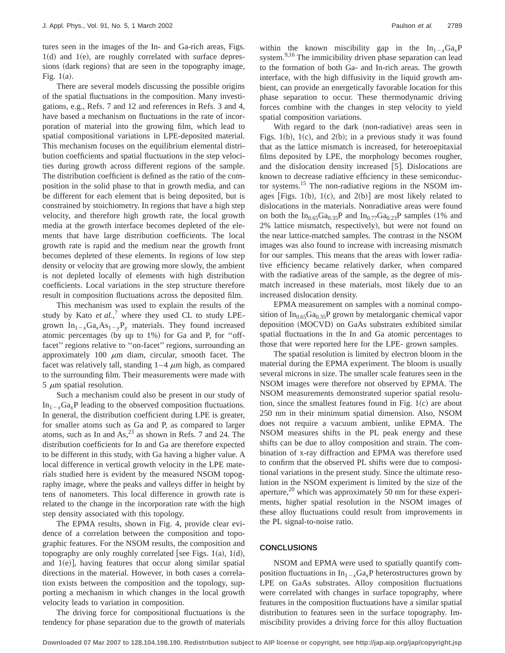tures seen in the images of the In- and Ga-rich areas, Figs.  $1(d)$  and  $1(e)$ , are roughly correlated with surface depressions (dark regions) that are seen in the topography image, Fig.  $1(a)$ .

There are several models discussing the possible origins of the spatial fluctuations in the composition. Many investigations, e.g., Refs. 7 and 12 and references in Refs. 3 and 4, have based a mechanism on fluctuations in the rate of incorporation of material into the growing film, which lead to spatial compositional variations in LPE-deposited material. This mechanism focuses on the equilibrium elemental distribution coefficients and spatial fluctuations in the step velocities during growth across different regions of the sample. The distribution coefficient is defined as the ratio of the composition in the solid phase to that in growth media, and can be different for each element that is being deposited, but is constrained by stoichiometry. In regions that have a high step velocity, and therefore high growth rate, the local growth media at the growth interface becomes depleted of the elements that have large distribution coefficients. The local growth rate is rapid and the medium near the growth front becomes depleted of these elements. In regions of low step density or velocity that are growing more slowly, the ambient is not depleted locally of elements with high distribution coefficients. Local variations in the step structure therefore result in composition fluctuations across the deposited film.

This mechanism was used to explain the results of the study by Kato *et al.*,<sup>7</sup> where they used CL to study LPEgrown  $In_{1-x}Ga_xAs_{1-y}P_y$  materials. They found increased atomic percentages (by up to  $1\%$ ) for Ga and P, for "offfacet" regions relative to "on-facet" regions, surrounding an approximately 100  $\mu$ m diam, circular, smooth facet. The facet was relatively tall, standing  $1-4 \mu m$  high, as compared to the surrounding film. Their measurements were made with  $5 \mu m$  spatial resolution.

Such a mechanism could also be present in our study of  $In_{1-x}Ga_xP$  leading to the observed composition fluctuations. In general, the distribution coefficient during LPE is greater, for smaller atoms such as Ga and P, as compared to larger atoms, such as In and  $\text{As}^{23}$  as shown in Refs. 7 and 24. The distribution coefficients for In and Ga are therefore expected to be different in this study, with Ga having a higher value. A local difference in vertical growth velocity in the LPE materials studied here is evident by the measured NSOM topography image, where the peaks and valleys differ in height by tens of nanometers. This local difference in growth rate is related to the change in the incorporation rate with the high step density associated with this topology.

The EPMA results, shown in Fig. 4, provide clear evidence of a correlation between the composition and topographic features. For the NSOM results, the composition and topography are only roughly correlated [see Figs. 1(a), 1(d), and  $1(e)$ , having features that occur along similar spatial directions in the material. However, in both cases a correlation exists between the composition and the topology, supporting a mechanism in which changes in the local growth velocity leads to variation in composition.

The driving force for compositional fluctuations is the tendency for phase separation due to the growth of materials within the known miscibility gap in the  $In_{1-x}Ga_xP$ system.<sup>9,16</sup> The immicibility driven phase separation can lead to the formation of both Ga- and In-rich areas. The growth interface, with the high diffusivity in the liquid growth ambient, can provide an energetically favorable location for this phase separation to occur. These thermodynamic driving forces combine with the changes in step velocity to yield spatial composition variations.

With regard to the dark (non-radiative) areas seen in Figs. 1(b), 1(c), and 2(b); in a previous study it was found that as the lattice mismatch is increased, for heteroepitaxial films deposited by LPE, the morphology becomes rougher, and the dislocation density increased  $[5]$ . Dislocations are known to decrease radiative efficiency in these semiconductor systems.<sup>15</sup> The non-radiative regions in the NSOM images [Figs. 1(b), 1(c), and  $2(b)$ ] are most likely related to dislocations in the materials. Nonradiative areas were found on both the  $In<sub>0.65</sub>Ga<sub>0.35</sub>P$  and  $In<sub>0.77</sub>Ga<sub>0.23</sub>P$  samples (1% and 2% lattice mismatch, respectively), but were not found on the near lattice-matched samples. The contrast in the NSOM images was also found to increase with increasing mismatch for our samples. This means that the areas with lower radiative efficiency became relatively darker, when compared with the radiative areas of the sample, as the degree of mismatch increased in these materials, most likely due to an increased dislocation density.

EPMA measurement on samples with a nominal composition of  $In<sub>0.65</sub>Ga<sub>0.35</sub>P$  grown by metalorganic chemical vapor deposition (MOCVD) on GaAs substrates exhibited similar spatial fluctuations in the In and Ga atomic percentages to those that were reported here for the LPE- grown samples.

The spatial resolution is limited by electron bloom in the material during the EPMA experiment. The bloom is usually several microns in size. The smaller scale features seen in the NSOM images were therefore not observed by EPMA. The NSOM measurements demonstrated superior spatial resolution, since the smallest features found in Fig.  $1(c)$  are about 250 nm in their minimum spatial dimension. Also, NSOM does not require a vacuum ambient, unlike EPMA. The NSOM measures shifts in the PL peak energy and these shifts can be due to alloy composition and strain. The combination of x-ray diffraction and EPMA was therefore used to confirm that the observed PL shifts were due to compositional variations in the present study. Since the ultimate resolution in the NSOM experiment is limited by the size of the aperture,<sup>20</sup> which was approximately 50 nm for these experiments, higher spatial resolution in the NSOM images of these alloy fluctuations could result from improvements in the PL signal-to-noise ratio.

# **CONCLUSIONS**

NSOM and EPMA were used to spatially quantify composition fluctuations in  $In_{1-x}Ga_xP$  heterostructures grown by LPE on GaAs substrates. Alloy composition fluctuations were correlated with changes in surface topography, where features in the composition fluctuations have a similar spatial distribution to features seen in the surface topography. Immiscibility provides a driving force for this alloy fluctuation

**Downloaded 07 Mar 2007 to 128.104.198.190. Redistribution subject to AIP license or copyright, see http://jap.aip.org/jap/copyright.jsp**